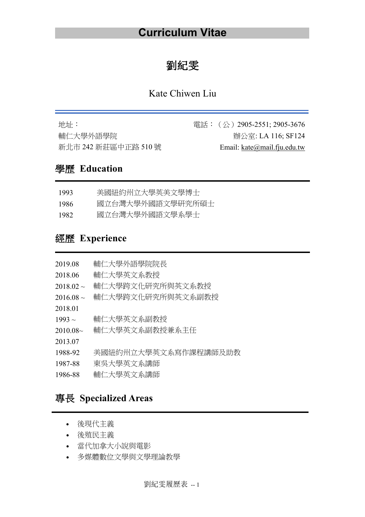# 劉紀雯

### Kate Chiwen Liu

| 地址:                 | 電話:(公)2905-2551; 2905-3676    |
|---------------------|-------------------------------|
| 輔仁大學外語學院            | 辦公室: LA 116; SF124            |
| 新北市 242 新莊區中正路 510號 | Email: $kate@mail.fiu.edu.tw$ |

## 學歷 **Education**

| 1993 | 美國紐約州立大學英美文學博士   |
|------|------------------|
| 1986 | 國立台灣大學外國語文學研究所碩士 |
| 1982 | 國立台灣大學外國語文學系學士   |

## 經歷 **Experience**

| 2019.08        | 輔仁大學外語學院院長           |
|----------------|----------------------|
| 2018.06        | 輔仁大學英文系教授            |
| $2018.02 \sim$ | 輔仁大學跨文化研究所與英文系教授     |
| $2016.08 \sim$ | 輔仁大學跨文化研究所與英文系副教授    |
| 2018.01        |                      |
| $1993 \sim$    | 輔仁大學英文系副教授           |
| 2010.08~       | 輔仁大學英文系副教授兼系主任       |
| 2013.07        |                      |
| 1988-92        | 美國紐約州立大學英文系寫作課程講師及助教 |
| 1987-88        | 東吳大學英文系講師            |
| 1986-88        | 輔仁大學英文系講師            |
|                |                      |

## 專長 **Specialized Areas**

- 後現代主義
- 後殖民主義
- 當代加拿大小說與電影
- 多媒體數位文學與文學理論教學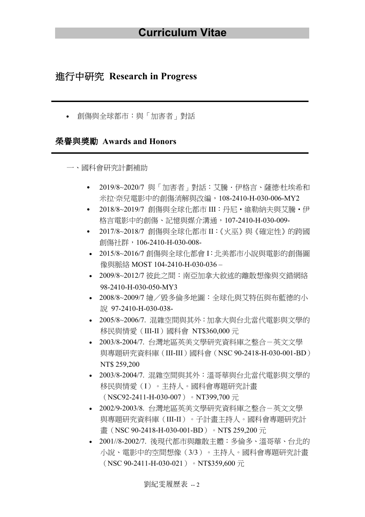#### 進行中研究 **Research in Progress**

• 創傷與全球都市:與「加害者」對話

#### 榮譽與獎勵 **Awards and Honors**

一、國科會研究計劃補助

- ․ 2019/8~2020/7 與「加害者」對話:艾騰.伊格言、薩德·杜埃希和 米拉·奈兒電影中的創傷消解與改編,108-2410-H-030-006-MY2
- ․ 2018/8~2019/7 創傷與全球化都市 III:丹尼‧維勒納夫與艾騰‧伊 格言電影中的創傷、記憶與媒介溝通,107-2410-H-030-009-
- ․ 2017/8~2018/7 創傷與全球化都市 II:《火巫》與《確定性》的跨國 創傷社群,106-2410-H-030-008-
- 2015/8~2016/7 創傷與全球化都會 I:北美都市小說與電影的創傷圖 像與脈絡 MOST 104-2410-H-030-036 –
- 2009/8~2012/7 彼此之間:南亞加拿大敘述的離散想像與交錯網絡 98-2410-H-030-050-MY3
- 2008/8~2009/7 繪/毀多倫多地圖:全球化與艾特伍與布藍德的小 說 97-2410-H-030-038-
- 2005/8~2006/7. 混雜空間與其外:加拿大與台北當代電影與文學的 移民與情愛(III-II)國科會 NT\$360,000 元
- 2003/8-2004/7. 台灣地區英美文學研究資料庫之整合-英文文學 與專題研究資料庫(III-III)國科會(NSC 90-2418-H-030-001-BD) NT\$ 259,200
- 2003/8-2004/7. 混雜空間與其外:溫哥華與台北當代電影與文學的 移民與情愛(I)。主持人。國科會專題研究計畫 (NSC92-2411-H-030-007) • NT399,700  $\overline{\pi}$
- 2002/9-2003/8. 台灣地區英美文學研究資料庫之整合-英文文學 與專題研究資料庫(III-II)。子計畫主持人。國科會專題研究計 畫 (NSC 90-2418-H-030-001-BD)。NT\$ 259,200 元
- 2001//8-2002/7. 後現代都市與離散主體:多倫多、溫哥華、台北的 小說、電影中的空間想像(3/3)。主持人。國科會專題研究計畫 (NSC 90-2411-H-030-021) • NT\$359,600  $\overline{\pi}$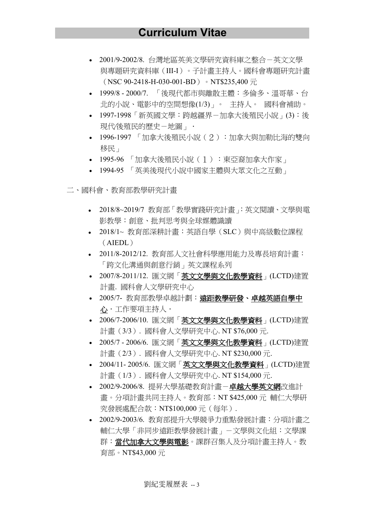- 2001/9-2002/8. 台灣地區英美文學研究資料庫之整合-英文文學 與專題研究資料庫(III-I)。子計畫主持人。國科會專題研究計畫 (NSC 90-2418-H-030-001-BD) • NT\$235,400  $\overline{\pi}$
- 1999/8 2000/7. 「後現代都市與離散主體:多倫多、溫哥華、台 北的小說、電影中的空間想像(1/3)」。 主持人。 國科會補助。
- 1997-1998「新英國文學:跨越疆界-加拿大後殖民小說」(3):後 現代/後殖民的歷史-地圖」·
- 1996-1997 「加拿大後殖民小說(2):加拿大與加勒比海的雙向 移民」
- 1995-96 「加拿大後殖民小說(1):東亞裔加拿大作家」
- 1994-95 「英美後現代小說中國家主體與大眾文化之互動」
- 二、國科會、教育部教學研究計畫
	- <sup>l</sup> 2018/8~2019/7 教育部「教學實踐研究計畫」:英文閱讀、文學與電 影教學:創意、批判思考與全球媒體識讀
	- <sup>l</sup> 2018/1~ 教育部深耕計畫:英語自學(SLC)與中高級數位課程 (AIEDL)
	- <sup>l</sup> 2011/8-2012/12. 教育部人文社會科學應用能力及專長培育計畫: 「跨文化溝通與創意行銷」英文課程系列
	- 2007/8-2011/12. 匯文網「英文文學與文化教學資料」(LCTD)建置 計畫. 國科會人文學研究中心
	- 2005/7- 教育部教學卓越計劃︰遠距教學研發、卓越英語自學中 心 · 工作要項主持人 ·
	- 2006/7-2006/10. 匯文網「英文文學與文化教學資料」(LCTD)建置 計畫(3/3). 國科會人文學研究中心. NT \$76,000 元.
	- 2005/7 2006/6. 匯文網「英文文學與文化教學資料」(LCTD)建置 計畫(2/3). 國科會人文學研究中心. NT \$230,000 元.
	- 2004/11- 2005/6. 匯文網「英文文學與文化教學資料」(LCTD)建置 計畫(1/3). 國科會人文學研究中心. NT \$154,000 元.
	- 2002/9-2006/8. 提昇大學基礎教育計畫-卓越大學英文網改進計 畫。分項計畫共同主持人。教育部︰NT \$425,000 元 輔仁大學研 究發展處配合款︰NT\$100,000 元(每年).
	- 2002/9-2003/6. 教育部提升大學競爭力重點發展計畫:分項計畫之 輔仁大學「非同步遠距教學發展計畫」-文學與文化組:文學課 群:當代加拿大文學與電影。課群召集人及分項計畫主持人。教 育部。NT\$43,000 元

劉紀雯履歷表 -- 3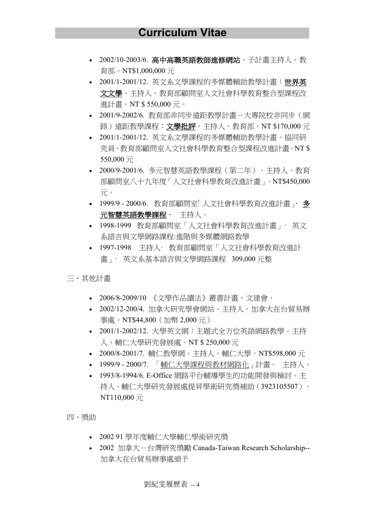- 2002/10-2003/6. 高中高職英語教師進修網站。子計畫主持人。教 育部。NT\$1,000,000 元
- 2001/1-2001/12. 英文系文學課程的多媒體輔助教學計畫:世界英 文文學。主持人。教育部顧問室人文社會科學教育整合型課程改 進計畫。NT \$ 550,000 元。
- 2001/9-2002/6. 教育部非同步遠距教學計畫-大專院校非同步(網 路)遠距教學課程: 文學批評。主持人。教育部。NT \$170,000 元
- 2001/1-2001/12. 英文系文學課程的多媒體輔助教學計畫。協同研 究員。教育部顧問室人文社會科學教育整合型課程改進計畫。NT \$ 550,000 元
- 2000/9-2001/6. 多元智慧英語教學課程(第二年)。主持人。教育 部顧問室八十九年度「人文社會科學教育改進計畫」。NT\$450,000 元。
- 1999/9 2000/6. 教育部顧問室「人文社會科學教育改進計畫」. 多 元智慧英語教學課程 · 主持人。
- 1998-1999 教育部顧問室「人文社會科學教育改進計畫」· 英文 系語言與文學網路課程:進階與多媒體網路教學
- 1997-1998 主持人· 教育部顧問室「人文社會科學教育改進計 畫」· 英文系基本語言與文學網路課程 309,000 元整
- 三、其他計畫
	- 2006/8-2009/10 《文學作品讀法》叢書計畫·文建會·
	- 2002/12-200/4. 加拿大研究學會網站。主持人。加拿大在台貿易辦 事處。NT\$44,800(加幣 2,000 元)
	- 2001/1-2002/12. 大學英文網:主題式全方位英語網路教學。主持 人。輔仁大學研究發展處。NT \$ 250,000 元
	- 2000/8-2001/7. 輔仁教學網。主持人。輔仁大學。NT\$598,000 元
	- 1999/9 2000/7. 「輔仁大學課程與教材網路化」計畫。 主持人。
	- 1993/8-1994/6. E-Office 網路平台輔導學生的功能開發與檢討。主 持人。輔仁大學研究發展處提昇學術研究獎補助(3923105507)。 NT110,000 元

四、獎助

- 2002 91 學年度輔仁大學輔仁學術研究獎
- 2002 加拿大-台灣研究獎勵 Canada-Taiwan Research Scholarship-- 加拿大在台貿易辦事處頒予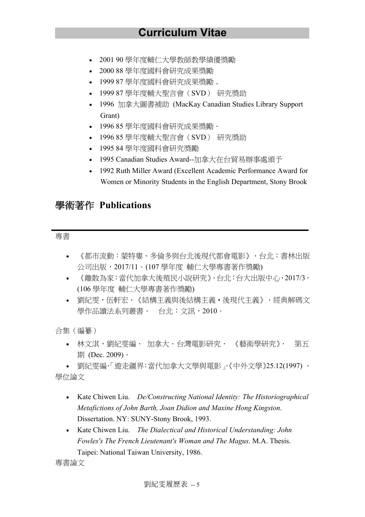- 2001 90 學年度輔仁大學教師教學績優獎勵
- 2000 88 學年度國科會研究成果獎勵
- 1999 87 學年度國科會研究成果獎勵.
- 1999 87 學年度輔大聖言會(SVD) 研究獎助
- 1996 加拿大圖書補助 (MacKay Canadian Studies Library Support Grant)
- 1996 85 學年度國科會研究成果獎勵.
- 1996 85 學年度輔大聖言會(SVD) 研究獎助
- 1995 84 學年度國科會研究獎勵
- 1995 Canadian Studies Award--加拿大在台貿易辦事處頒予
- 1992 Ruth Miller Award (Excellent Academic Performance Award for Women or Minority Students in the English Department, Stony Brook

### 學術著作 **Publications**

#### 專書

- 《都市流動:蒙特婁、多倫多與台北後現代都會電影》.台北:書林出版 公司出版,2017/11。(107 學年度 輔仁大學專書著作獎勵)
- 《離散為家:當代加拿大後殖民小說研究》·台北:台大出版中心,2017/3 · (106 學年度 輔仁大學專書著作獎勵)
- 劉紀雯,伍軒宏·《結構主義與後結構主義·後現代主義》.經典解碼文 學作品讀法系列叢書. 台北:文訊,2010。

合集(編纂)

• 林文淇,劉紀雯編. 加拿大.台灣電影研究. 《藝術學研究》. 第五 期 (Dec.  $2009$ ) ·

• 劉紀雯編.「遊走疆界:當代加拿大文學與電影」.《中外文學》25.12(1997) . 學位論文

- Kate Chiwen Liu. *De/Constructing National Identity: The Historiographical Metafictions of John Barth, Joan Didion and Maxine Hong Kingston*. Dissertation. NY: SUNY-Stony Brook, 1993.
- Kate Chiwen Liu. *The Dialectical and Historical Understanding: John Fowles's The French Lieutenant's Woman and The Magus*. M.A. Thesis. Taipei: National Taiwan University, 1986.

專書論文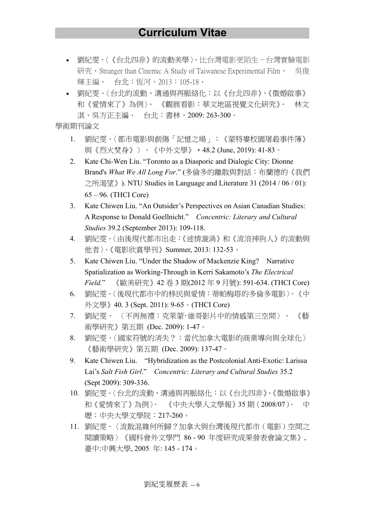- 劉紀雯.〈《台北四非》的流動美學〉.比台灣電影更陌生-台灣實驗電影 研究 · Stranger than Cinema: A Study of Taiwanese Experimental Film · 吳俊 輝主編. 台北:恆河,2013:105-18.
- 劉紀零·〈台北的流動、溝通與再脈絡化:以《台北四非》、《徵婚啟事》 和《愛情來了》為例〉. 《觀展看影:華文地區視覺文化研究》. 林文 淇、吳方正主編. 台北:書林,2009: 263-300.

學術期刊論文

- 1. 劉紀雯·〈都市電影與創傷「記憶之場」:《蒙特婁校園屠殺事件簿》 與《烈火焚身》〉。《中外文學》‧48.2 (June, 2019): 41-83。
- 2. Kate Chi-Wen Liu. "Toronto as a Diasporic and Dialogic City: Dionne Brand's *What We All Long For*." (多倫多的離散與對話:布蘭德的《我們 之所渴望》). NTU Studies in Language and Literature 31 (2014 / 06 / 01): 65 – 96. (THCI Core)
- 3. Kate Chiwen Liu. "An Outsider's Perspectives on Asian Canadian Studies: A Response to Donald Goellnicht." *Concentric: Literary and Cultural Studies* 39.2 (September 2013): 109-118.
- 4. 劉紀零·〈由後現代都市出走:《迷情漩渦》和《流浪神狗人》的流動與 他者〉.《電影欣賞學刊》Summer, 2013: 132-53。
- 5. Kate Chiwen Liu. "Under the Shadow of Mackenzie King? Narrative Spatialization as Working-Through in Kerri Sakamoto's *The Electrical Field.*" 《歐美研究》42 卷 3 期(2012 年 9 月號): 591-634. (THCI Core)
- 6. 劉紀雯.〈後現代都市中的移民與愛情:蒂帕梅塔的多倫多電影〉.《中 外文學》40. 3 (Sept. 2011): 9-65。(THCI Core)
- 7. 劉紀雯. 〈不再無禮:克萊蒙‧維哥影片中的情感第三空間〉. 《藝 術學研究》第五期 (Dec. 2009): 1-47。
- 8. 劉紀雯·〈國家符號的消失?:當代加拿大電影的商業導向與全球化〉 《藝術學研究》第五期 (Dec. 2009): 137-47。
- 9. Kate Chiwen Liu. "Hybridization as the Postcolonial Anti-Exotic: Larissa Lai's *Salt Fish Girl*." *Concentric: Literary and Cultural Studies* 35.2 (Sept 2009): 309-336.
- 10. 劉紀雯.〈台北的流動、溝通與再脈絡化︰以《台北四非》、《徵婚啟事》 和《愛情來了》為例〉. 《中央大學人文學報》35 期(2008/07). 中 壢:中央大學文學院:217-260。
- 11. 劉紀零·〈流散混雜何所歸?加拿大與台灣後現代都市(電影)空間之 閱讀策略〉《國科會外文學門 86 - 90 年度研究成果發表會論文集》, 臺中:中興大學, 2005 年: 145 - 174。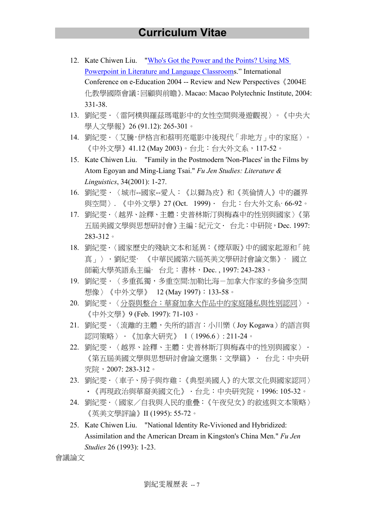- 12. Kate Chiwen Liu. "Who's Got the Power and the Points? Using MS Powerpoint in Literature and Language Classrooms." International Conference on e-Education 2004 -- Review and New Perspectives《2004E 化教學國際會議:回顧與前瞻》. Macao: Macao Polytechnic Institute, 2004: 331-38.
- 13. 劉紀零·〈雷阿樸與羅茲瑪雷影中的女性空間與漫遊觀視〉。《中央大 學人文學報》26 (91.12): 265-301。
- 14. 劉紀雯·〈艾騰·伊格言和蔡明亮電影中後現代「非地方」中的家庭〉。 《中外文學》41.12 (May 2003)。台北:台大外文系,117-52。
- 15. Kate Chiwen Liu. "Family in the Postmodern 'Non-Places' in the Films by Atom Egoyan and Ming-Liang Tsai." *Fu Jen Studies: Literature & Linguistics*, 34(2001): 1-27.
- 16. 劉紀零·〈城市--國家--愛人:《以獅為皮》和《英倫情人》中的疆界 與空間〉. 《中外文學》27 (Oct. 1999) · 台北: 台大外文系· 66-92。
- 17. 劉紀零·〈越界、詮釋、主體:史普林斯汀與梅森中的性別與國家〉《第 五屆美國文學與思想研討會》主編:紀元文. 台北:中研院,Dec. 1997: 283-312。
- 18. 劉紀雯·〈國家歷史的殘缺文本和延異:《煙草販》中的國家起源和「純 真」〉.劉紀雯· 《中華民國第六屆英美文學研討會論文集》· 國立 師範大學英語系主編· 台北:書林,Dec. , 1997: 243-283。
- 19. 劉紀雯·〈多重孤獨,多重空間:加勒比海-加拿大作家的多倫多空間 想像〉《中外文學》 12 (May 1997):133-58。
- 20. 劉紀雯·〈分裂與整合:華裔加拿大作品中的家庭隱私與性別認同〉· 《中外文學》9 (Feb. 1997): 71-103。
- 21. 劉紀雯·〈流離的主體,失所的語言:小川樂 (Joy Kogawa) 的語言與 認同策略 〉.《加拿大研究》 1(1996.6): 211-24。
- 22. 劉紀雯·〈越界、詮釋、主體:史普林斯汀與梅森中的性別與國家〉· 《第五屆美國文學與思想研討會論文選集:文學篇》. 台北:中央研 究院,2007: 283-312。
- 23. 劉紀零·〈車子、房子與炸雞:《典型美國人》的大眾文化與國家認同〉 ・《再現政治與華裔美國文化》.台北:中央研究院,1996: 105-32。
- 24. 劉紀雯·〈國家/自我與人民的重疊:《午夜兒女》的敘述與文本策略〉 《英美文學評論》II (1995): 55-72。
- 25. Kate Chiwen Liu. "National Identity Re-Vivioned and Hybridized: Assimilation and the American Dream in Kingston's China Men." *Fu Jen Studies* 26 (1993): 1-23.

會議論文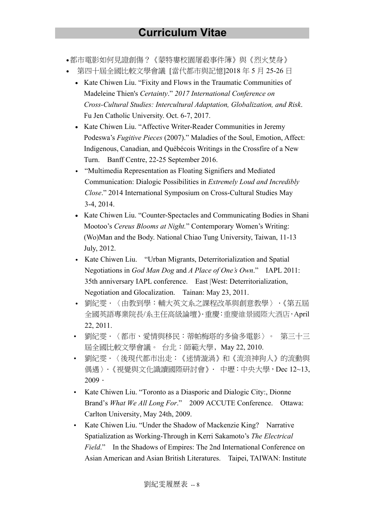- •都市電影如何見證創傷?《蒙特婁校園屠殺事件簿》與《烈火焚身》
- 第四十屆全國比較文學會議 [當代都市與記憶]2018 年 5 月 25-26 日
	- Kate Chiwen Liu. "Fixity and Flows in the Traumatic Communities of Madeleine Thien's *Certainty*." *2017 International Conference on Cross-Cultural Studies: Intercultural Adaptation, Globalization, and Risk*. Fu Jen Catholic University. Oct. 6-7, 2017.
	- Kate Chiwen Liu. "Affective Writer-Reader Communities in Jeremy Podeswa's *Fugitive Pieces* (2007)." Maladies of the Soul, Emotion, Affect: Indigenous, Canadian, and Québécois Writings in the Crossfire of a New Turn. Banff Centre, 22-25 September 2016.
	- ․ "Multimedia Representation as Floating Signifiers and Mediated Communication: Dialogic Possibilities in *Extremely Loud and Incredibly Close*." 2014 International Symposium on Cross-Cultural Studies May 3-4, 2014.
	- Kate Chiwen Liu. "Counter-Spectacles and Communicating Bodies in Shani Mootoo's *Cereus Blooms at Night.*" Contemporary Women's Writing: (Wo)Man and the Body. National Chiao Tung University, Taiwan, 11-13 July, 2012.
	- Kate Chiwen Liu. "Urban Migrants, Deterritorialization and Spatial Negotiations in *God Man Dog* and *A Place of One's Own*." IAPL 2011: 35th anniversary IAPL conference. East |West: Deterritorialization, Negotiation and Glocalization. Tainan: May 23, 2011.
	- ・ 劉紀雯.〈由教到學:輔大英文系之課程改革與創意教學〉.《第五屆 全國英語專業院長/系主任高級論壇》.重慶:重慶維景國際大酒店,April 22, 2011.
	- 劉紀雯.〈都市、愛情與移民:蒂帕梅塔的多倫多電影〉。 第三十三 屆全國比較文學會議。 台北:師範大學﹐May 22, 2010.
	- 劉紀雯.〈後現代都市出走:《迷情漩渦》和《流浪神狗人》的流動與 偶遇〉.《視覺與文化識讀國際研討會》. 中壢:中央大學,Dec 12~13,  $2009$ .
	- Kate Chiwen Liu. "Toronto as a Diasporic and Dialogic City:, Dionne Brand's *What We All Long For*." 2009 ACCUTE Conference. Ottawa: Carlton University, May 24th, 2009.
	- Kate Chiwen Liu. "Under the Shadow of Mackenzie King? Narrative Spatialization as Working-Through in Kerri Sakamoto's *The Electrical Field*." In the Shadows of Empires: The 2nd International Conference on Asian American and Asian British Literatures. Taipei, TAIWAN: Institute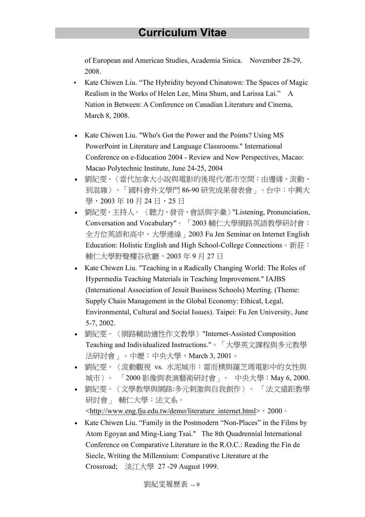of European and American Studies, Academia Sinica. November 28-29, 2008.

- Kate Chiwen Liu. "The Hybridity beyond Chinatown: The Spaces of Magic Realism in the Works of Helen Lee, Mina Shum, and Larissa Lai." A Nation in Between: A Conference on Canadian Literature and Cinema, March 8, 2008.
- Kate Chiwen Liu. "Who's Got the Power and the Points? Using MS PowerPoint in Literature and Language Classrooms." International Conference on e-Education 2004 - Review and New Perspectives, Macao: Macao Polytechnic Institute, June 24-25, 2004
- 劉紀雯.〈當代加拿大小說與電影的後現代/都市空間:由邊緣、流動、 到混雜〉。「國科會外文學門 86-90 研究成果發表會」。台中:中興大 學, 2003年10月24日, 25日
- 劉紀雯,主持人.〈聽力、發音、會話與字彙〉"Listening, Pronunciation, Conversation and Vocabulary"。 「2003 輔仁大學網路英語教學研討會: 全方位英語和高中、大學連線」2003 Fu Jen Seminar on Internet English Education: Holistic English and High School-College Connections。新莊: 輔仁大學野聲樓谷欣廳,2003 年 9 月 27 日
- Kate Chiwen Liu. "Teaching in a Radically Changing World: The Roles of Hypermedia Teaching Materials in Teaching Improvement." IAJBS (International Association of Jesuit Business Schools) Meeting. (Theme: Supply Chain Management in the Global Economy: Ethical, Legal, Environmental, Cultural and Social Issues). Taipei: Fu Jen University, June 5-7, 2002.
- 劉紀雯.〈網路輔助適性作文教學〉"Internet-Assisted Composition Teaching and Individualized Instructions."。「大學英文課程與多元教學 法研討會」。中壢:中央大學,March 3, 2001。
- 劉紀零·〈流動觀視 vs. 水泥城市:雷而樸與羅芝瑪雷影中的女性與 城市〉。 「2000 影像與表演藝術研討會」. 中央大學:May 6, 2000.
- 劉紀雯.〈文學教學與網路:多元刺激與自我創作〉。 「法文遠距教學 研討會 | 輔仁大學: 法文系 · <http://www.eng.fju.edu.tw/demo/literature\_internet.html>,2000。
- Kate Chiwen Liu. "Family in the Postmodern "Non-Places" in the Films by Atom Egoyan and Ming-Liang Tsai." The 8th Quadrennial International Conference on Comparative Literature in the R.O.C.: Reading the Fin de Siecle, Writing the Millennium: Comparative Literature at the Crossroad; 淡江大學 27 -29 August 1999.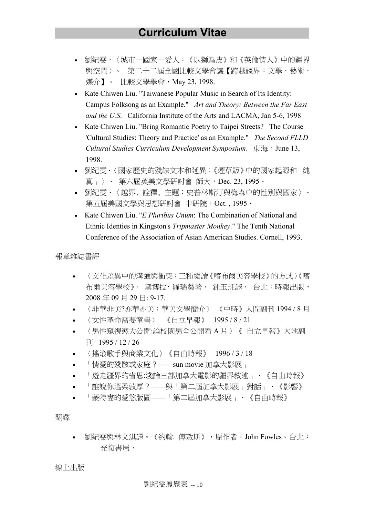- 劉紀零·〈城市-國家-愛人:《以獅為皮》和《英倫情人》中的疆界 與空間〉。 第二十二屆全國比較文學會議【跨越疆界:文學.藝術. 媒介】。 比較文學學會, May 23, 1998.
- Kate Chiwen Liu. "Taiwanese Popular Music in Search of Its Identity: Campus Folksong as an Example." *Art and Theory: Between the Far East and the U.S*. California Institute of the Arts and LACMA, Jan 5-6, 1998
- Kate Chiwen Liu. "Bring Romantic Poetry to Taipei Streets? The Course 'Cultural Studies: Theory and Practice' as an Example." *The Second FLLD Cultural Studies Curriculum Development Symposium*. 東海,June 13, 1998.
- 劉紀雯.〈國家歷史的殘缺文本和延異:《煙草販》中的國家起源和「純 真」〉. 第六屆英美文學研討會 師大, Dec. 23, 1995.
- 劉紀雯.〈越界﹑詮釋﹑主題:史普林斯汀與梅森中的性別與國家〉. 第五屆美國文學與思想研討會 中研院, Oct. , 1995 ·
- Kate Chiwen Liu. "*E Pluribus Unum*: The Combination of National and Ethnic Identies in Kingston's *Tripmaster Monkey*." The Tenth National Conference of the Association of Asian American Studies. Cornell, 1993.

報章雜誌書評

- 〈文化差異中的溝通與衝突:三種閱讀《喀布爾美容學校》的方式〉《喀 布爾美容學校》· 黛博拉· 羅瑞葵著 · 鍾玉玨譯 · 台北:時報出版, 2008 年 09 月 29 日: 9-17.
- 〈非華非美?亦華亦美:華美文學簡介〉 《中時》人間副刊 1994 / 8 月
- 〈女性革命需要童書〉 《自立早報》 1995 / 8 / 21
- 〈男性窺視慾大公開:論校園男舍公開看 A 片〉《 自立早報》大地副 刊 1995 / 12 / 26
- 〈搖滾歌手與商業文化〉《自由時報》 1996 / 3 / 18
- 「情愛的殘骸或家庭?——sun movie 加拿大影展」
- 「遊走疆界的省思:淺論三部加拿大電影的疆界敘述」.《自由時報》
- 「誰說你溫柔敦厚?——與「第二屆加拿大影展」對話」.《影響》
- 「蒙特婁的愛慾版圖——「第二屆加拿大影展」.《自由時報》

翻譯

• 劉紀雯與林文淇譯。《約翰. 傅敖斯》,原作者:John Fowles。台北: 光復書局.

線上出版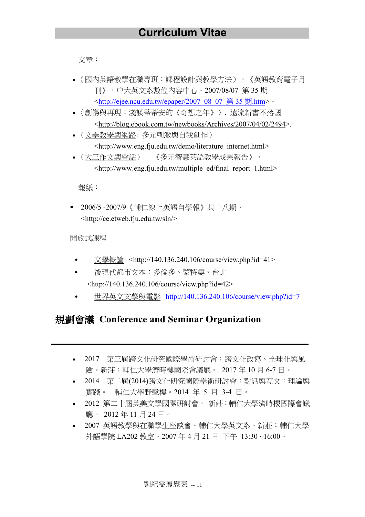文章:

- (國內英語教學在職專班:課程設計與教學方法),《英語教育電子月 刊》,中大英文系數位內容中心。2007/08/07 第 35 期 <http://ejee.ncu.edu.tw/epaper/2007\_08\_07\_第 35 期.htm>。
- 〈創傷與再現:淺談蒂蒂安的《奇想之年》〉. 遠流新書不落國 <http://blog.ebook.com.tw/newbooks/Archives/2007/04/02/2494>.
- 〈文學教學與網路: 多元刺激與自我創作〉 <http://www.eng.fju.edu.tw/demo/literature\_internet.html>
- 〈大三作文與會話〉 《多元智慧英語教學成果報告》 · <http://www.eng.fju.edu.tw/multiple\_ed/final\_report\_1.html>

報紙︰

■ 2006/5-2007/9《輔仁線上英語自學報》共十八期· <http://ce.etweb.fju.edu.tw/sln/>

開放式課程

- 文學概論 <http://140.136.240.106/course/view.php?id=41>
- ․ 後現代都市文本︰多倫多、蒙特婁、台北 <http://140.136.240.106/course/view.php?id=42>
- 世界英文文學與電影 http://140.136.240.106/course/view.php?id=7

### 規劃會議 **Conference and Seminar Organization**

- 2017 第三屆跨文化研究國際學術研討會:跨文化改寫、全球化與風 險。新莊:輔仁大學濟時樓國際會議廳。 2017 年 10 月 6-7 日。
- 2014 第二屆(2014)跨文化研究國際學術研討會:對話與互文:理論與 實踐。 輔仁大學野聲樓。2014 年 5 月 3-4 日。
- 2012 第二十屆英美文學國際研討會。 新莊:輔仁大學濟時樓國際會議 廳。 2012 年 11 月 24 日。
- 2007 英語教學與在職學生座談會。輔仁大學英文系。新莊:輔仁大學 外語學院 LA202 教室。2007 年 4 月 21 日 下午 13:30 ~16:00。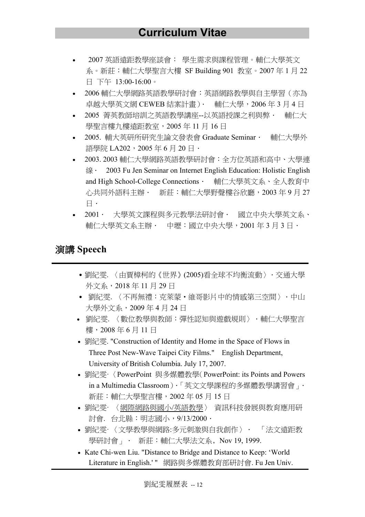- 2007 英語遠距教學座談會︰ 學生需求與課程管理。輔仁大學英文 系。新莊:輔仁大學聖言大樓 SF Building 901 教室。2007 年 1 月 22 日 下午 13:00-16:00。
- 2006 輔仁大學網路英語教學研討會:英語網路教學與自主學習(亦為 卓越大學英文網 CEWEB 結案計畫). 輔仁大學,2006 年 3 月 4 日
- 2005 菁英教師培訓之英語教學講座--以英語授課之利與弊. 輔仁大 學聖言樓九樓遠距教室,2005 年 11 月 16 日
- 2005. 輔大英研所研究生論文發表會 Graduate Seminar • 輔仁大學外 語學院 LA202, 2005 年 6 月 20 日 ·
- 2003. 2003 輔仁大學網路英語教學研討會:全方位英語和高中、大學連 線. 2003 Fu Jen Seminar on Internet English Education: Holistic English and High School-College Connections. 輔仁大學英文系、全人教育中 心共同外語科主辦. 新莊:輔仁大學野聲樓谷欣廳,2003 年 9 月 27 日.
- 2001. 大學英文課程與多元教學法研討會. 國立中央大學英文系、 輔仁大學英文系主辦. 中壢:國立中央大學,2001 年 3 月 3 日.

#### 演講 **Speech**

- 劉紀零. 〈由賈樟柯的《世界》(2005)看全球不均衡流動〉· 交通大學 外文系,2018 年 11 月 29 日
- ․ 劉紀雯. 〈不再無禮:克萊蒙‧維哥影片中的情感第三空間〉.中山 大學外文系,2009 年 4 月 24 日
- 劉紀雯. 〈數位教學與教師:彈性認知與遊戲規則〉.輔仁大學聖言 樓,2008 年 6 月 11 日
- 劉紀雯. "Construction of Identity and Home in the Space of Flows in Three Post New-Wave Taipei City Films." English Department, University of British Columbia. July 17, 2007.
- 劉紀雯·〈PowerPoint 與多媒體教學(PowerPoint: its Points and Powers in a Multimedia Classroom).「英文文學課程的多媒體教學講習會」. 新莊:輔仁大學聖言樓,2002 年 05 月 15 日
- 劉紀雯· 〈網際網路與國小/英語教學〉 資訊科技發展與教育應用研 討會. 台北縣:明志國小,9/13/2000.
- 劉紀雯· 〈文學教學與網路:多元刺激與自我創作〉. 「法文遠距教 學研討會 」 · 新莊: 輔仁大學法文系, Nov 19, 1999.
- Kate Chi-wen Liu. "Distance to Bridge and Distance to Keep: 'World Literature in English.' " 網路與多媒體教育部研討會. Fu Jen Univ.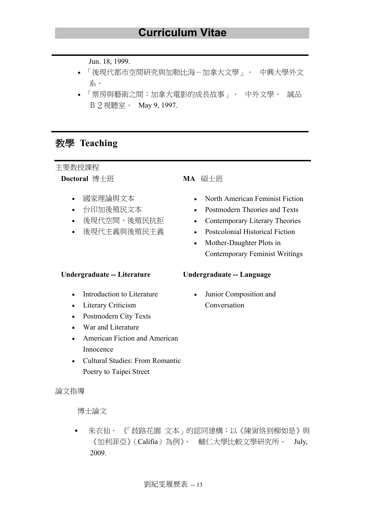Jun. 18, 1999.

- 「後現代都市空間研究與加勒比海-加拿大文學」. 中興大學外文 系.
- 「票房與藝術之間︰加拿大電影的成長故事」. 中外文學. 誠品 B 2 視聽室 · May 9, 1997.

### 教學 **Teaching**

主要教授課程

**Doctoral** 博士班

- 國家理論與文本
- 台印加後殖民文本
- 後現代空間、後殖民抗拒
- 後現代主義與後殖民主義

#### **Undergraduate -- Literature**

- Introduction to Literature
- Literary Criticism
- Postmodern City Texts
- War and Literature
- American Fiction and American Innocence
- Cultural Studies: From Romantic Poetry to Taipei Street

#### 論文指導

博士論文

朱衣仙 · 《「歧路花園 文本」的認同建構:以《陳寅恪到柳如是》與 《加利菲亞》(Califia)為例》. 輔仁大學比較文學研究所. July, 2009.

#### **MA** 碩士班

- North American Feminist Fiction
- Postmodern Theories and Texts
- Contemporary Literary Theories
- Postcolonial Historical Fiction
- Mother-Daughter Plots in Contemporary Feminist Writings

#### **Undergraduate -- Language**

Junior Composition and Conversation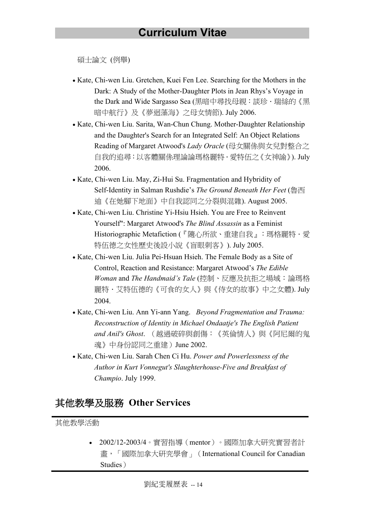碩士論文 (例舉)

- Kate, Chi-wen Liu. Gretchen, Kuei Fen Lee. Searching for the Mothers in the Dark: A Study of the Mother-Daughter Plots in Jean Rhys's Voyage in the Dark and Wide Sargasso Sea (黑暗中尋找母親:談珍·瑞絲的《黑 暗中航行》及《夢迴藻海》之母女情節). July 2006.
- Kate, Chi-wen Liu. Sarita, Wan-Chun Chung. Mother-Daughter Relationship and the Daughter's Search for an Integrated Self: An Object Relations Reading of Margaret Atwood's *Lady Oracle* (母女關係與女兒對整合之 自我的追尋:以客體關係理論論瑪格麗特.愛特伍之《女神諭》). July 2006.
- Kate, Chi-wen Liu. May, Zi-Hui Su. Fragmentation and Hybridity of Self-Identity in Salman Rushdie's *The Ground Beneath Her Feet* (魯西 迪《在她腳下地面》中自我認同之分裂與混雜). August 2005.
- Kate, Chi-wen Liu. Christine Yi-Hsiu Hsieh. You are Free to Reinvent Yourself": Margaret Atwood's *The Blind Assassin* as a Feminist Historiographic Metafiction (『隨心所欲、重建自我』: 瑪格麗特·愛 特伍德之女性歷史後設小說《盲眼刺客》). July 2005.
- Kate, Chi-wen Liu. Julia Pei-Hsuan Hsieh. The Female Body as a Site of Control, Reaction and Resistance: Margaret Atwood's *The Edible Woman* and *The Handmaid's Tale* (控制、反應及抗拒之場域:論瑪格 麗特·艾特伍德的《可食的女人》與《侍女的故事》中之女體). July 2004.
- Kate, Chi-wen Liu. Ann Yi-ann Yang. *Beyond Fragmentation and Trauma: Reconstruction of Identity in Michael Ondaatje's The English Patient and Anil's Ghost*. (越過破碎與創傷:《英倫情人》與《阿尼爾的鬼 魂》中身份認同之重建)June 2002.
- Kate, Chi-wen Liu. Sarah Chen Ci Hu. *Power and Powerlessness of the Author in Kurt Vonnegut's Slaughterhouse-Five and Breakfast of Champio*. July 1999.

### 其他教學及服務 **Other Services**

其他教學活動

• 2002/12-2003/4。實習指導(mentor)。國際加拿大研究實習者計 畫,「國際加拿大研究學會」(International Council for Canadian Studies)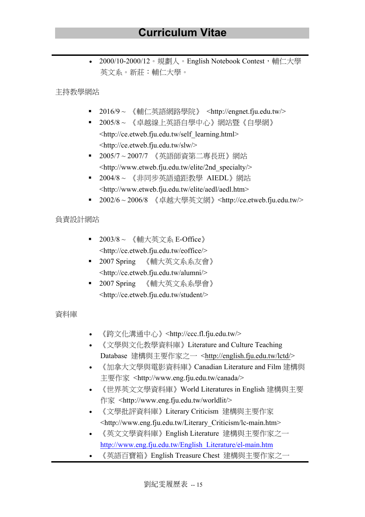2000/10-2000/12。規劃人。English Notebook Contest,輔仁大學 英文系。新莊:輔仁大學。

主持教學網站

- 2016/9~《輔仁英語網路學院》 <http://engnet.fiu.edu.tw/>
- 2005/8 ~ 《卓越線上英語自學中心》網站暨《自學網》 <http://ce.etweb.fju.edu.tw/self\_learning.html> <http://ce.etweb.fju.edu.tw/slw/>
- § 2005/7 ~ 2007/7 《英語師資第二專長班》網站 <http://www.etweb.fju.edu.tw/elite/2nd\_specialty/>
- 2004/8 ~ 《非同步英語遠距教學 AIEDL》網站 <http://www.etweb.fju.edu.tw/elite/aedl/aedl.htm>
- 2002/6~2006/8 《卓越大學英文網》<http://ce.etweb.fju.edu.tw/>

#### 負責設計網站

- 2003/8 ~ 《輔大英文系 E-Office》 <http://ce.etweb.fju.edu.tw/eoffice/>
- § 2007 Spring 《輔大英文系系友會》 <http://ce.etweb.fju.edu.tw/alumni/>
- 2007 Spring 《輔大英文系系學會》 <http://ce.etweb.fju.edu.tw/student/>

#### 資料庫

- 《跨文化溝通中心》<http://ccc.fl.fju.edu.tw/>
- 《文學與文化教學資料庫》Literature and Culture Teaching Database 建構與主要作家之一 <http://english.fju.edu.tw/lctd/>
- 《加拿大文學與電影資料庫》Canadian Literature and Film 建構與 主要作家 <http://www.eng.fju.edu.tw/canada/>
- 《世界英文文學資料庫》World Literatures in English 建構與主要 作家 <http://www.eng.fju.edu.tw/worldlit/>
- 《文學批評資料庫》Literary Criticism 建構與主要作家 <http://www.eng.fju.edu.tw/Literary\_Criticism/lc-main.htm>
- 《英文文學資料庫》English Literature 建構與主要作家之一 http://www.eng.fju.edu.tw/English\_Literature/el-main.htm
- 《英語百寶箱》English Treasure Chest 建構與主要作家之一